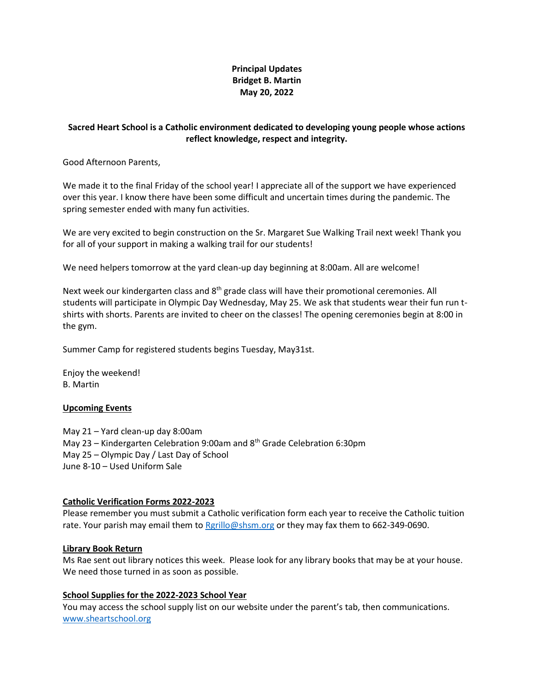# **Principal Updates Bridget B. Martin May 20, 2022**

# **Sacred Heart School is a Catholic environment dedicated to developing young people whose actions reflect knowledge, respect and integrity.**

Good Afternoon Parents,

We made it to the final Friday of the school year! I appreciate all of the support we have experienced over this year. I know there have been some difficult and uncertain times during the pandemic. The spring semester ended with many fun activities.

We are very excited to begin construction on the Sr. Margaret Sue Walking Trail next week! Thank you for all of your support in making a walking trail for our students!

We need helpers tomorrow at the yard clean-up day beginning at 8:00am. All are welcome!

Next week our kindergarten class and 8<sup>th</sup> grade class will have their promotional ceremonies. All students will participate in Olympic Day Wednesday, May 25. We ask that students wear their fun run tshirts with shorts. Parents are invited to cheer on the classes! The opening ceremonies begin at 8:00 in the gym.

Summer Camp for registered students begins Tuesday, May31st.

Enjoy the weekend! B. Martin

## **Upcoming Events**

May 21 – Yard clean-up day 8:00am May 23 – Kindergarten Celebration 9:00am and 8<sup>th</sup> Grade Celebration 6:30pm May 25 – Olympic Day / Last Day of School June 8-10 – Used Uniform Sale

## **Catholic Verification Forms 2022-2023**

Please remember you must submit a Catholic verification form each year to receive the Catholic tuition rate. Your parish may email them t[o Rgrillo@shsm.org](mailto:Rgrillo@shsm.org) or they may fax them to 662-349-0690.

#### **Library Book Return**

Ms Rae sent out library notices this week. Please look for any library books that may be at your house. We need those turned in as soon as possible.

#### **School Supplies for the 2022-2023 School Year**

You may access the school supply list on our website under the parent's tab, then communications. [www.sheartschool.org](http://www.sheartschool.org/)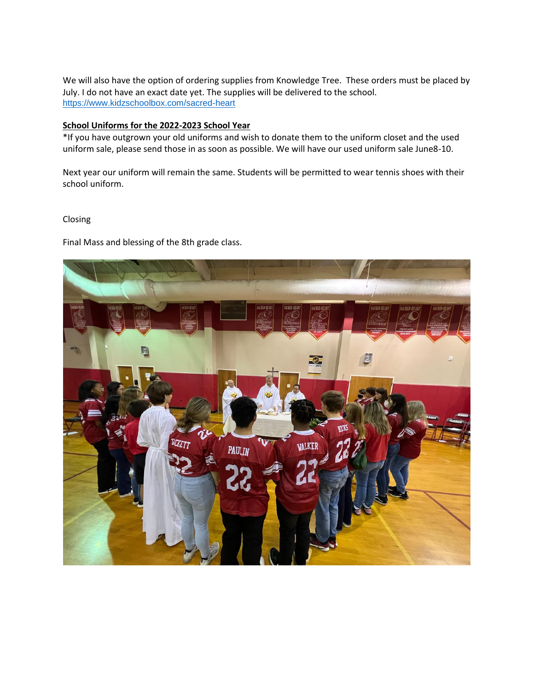We will also have the option of ordering supplies from Knowledge Tree. These orders must be placed by July. I do not have an exact date yet. The supplies will be delivered to the school. <https://www.kidzschoolbox.com/sacred-heart>

### **School Uniforms for the 2022-2023 School Year**

\*If you have outgrown your old uniforms and wish to donate them to the uniform closet and the used uniform sale, please send those in as soon as possible. We will have our used uniform sale June8-10.

Next year our uniform will remain the same. Students will be permitted to wear tennis shoes with their school uniform.

### Closing

Final Mass and blessing of the 8th grade class.

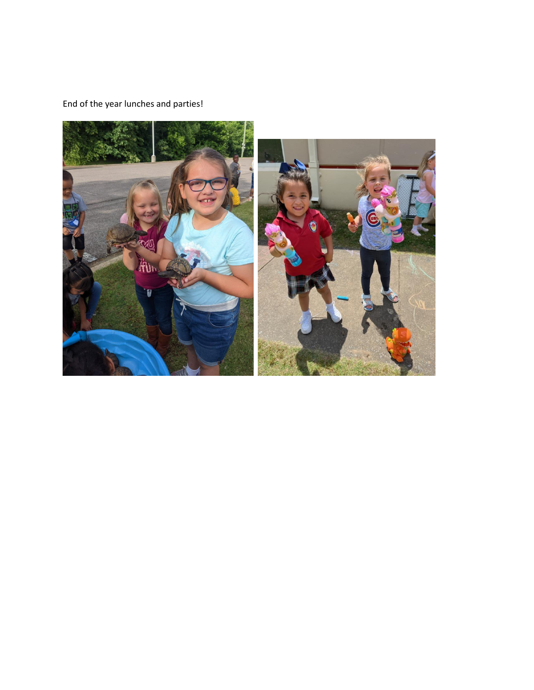End of the year lunches and parties!